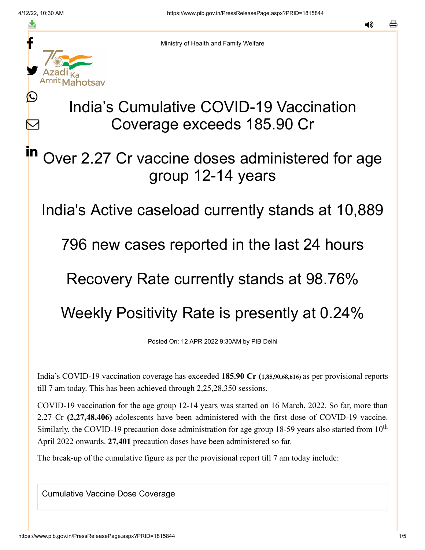L

 $\bm{\nabla}$ 

in



Ministry of Health and Family Welfare

# India's Cumulative COVID-19 Vaccination Coverage exceeds 185.90 Cr

# Over 2.27 Cr vaccine doses administered for age group 12-14 years

India's Active caseload currently stands at 10,889

796 new cases reported in the last 24 hours

### Recovery Rate currently stands at 98.76%

# Weekly Positivity Rate is presently at 0.24%

Posted On: 12 APR 2022 9:30AM by PIB Delhi

India's COVID-19 vaccination coverage has exceeded **185.90 Cr (1,85,90,68,616)** as per provisional reports till 7 am today. This has been achieved through 2,25,28,350 sessions.

COVID-19 vaccination for the age group 12-14 years was started on 16 March, 2022. So far, more than 2.27 Cr **(2,27,48,406)** adolescents have been administered with the first dose of COVID-19 vaccine. Similarly, the COVID-19 precaution dose administration for age group 18-59 years also started from  $10<sup>th</sup>$ April 2022 onwards. **27,401** precaution doses have been administered so far.

The break-up of the cumulative figure as per the provisional report till 7 am today include:

Cumulative Vaccine Dose Coverage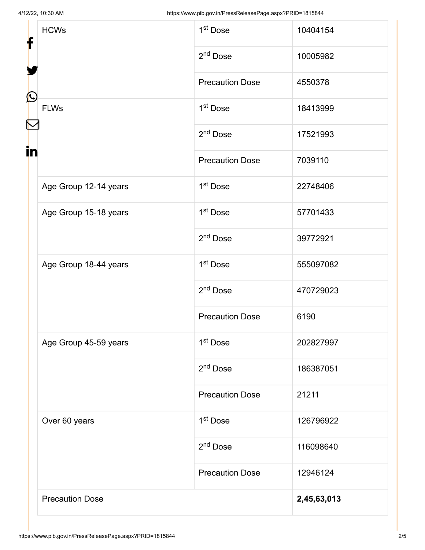| f<br>$\mathbf{\Omega}$<br>$\color{red} \sum$<br>in | <b>HCWs</b>            | 1 <sup>st</sup> Dose   | 10404154    |
|----------------------------------------------------|------------------------|------------------------|-------------|
|                                                    |                        | 2 <sup>nd</sup> Dose   | 10005982    |
|                                                    |                        | <b>Precaution Dose</b> | 4550378     |
|                                                    | <b>FLWs</b>            | 1 <sup>st</sup> Dose   | 18413999    |
|                                                    |                        | $2nd$ Dose             | 17521993    |
|                                                    |                        | <b>Precaution Dose</b> | 7039110     |
|                                                    | Age Group 12-14 years  | 1 <sup>st</sup> Dose   | 22748406    |
|                                                    | Age Group 15-18 years  | 1 <sup>st</sup> Dose   | 57701433    |
|                                                    |                        | 2 <sup>nd</sup> Dose   | 39772921    |
|                                                    | Age Group 18-44 years  | 1 <sup>st</sup> Dose   | 555097082   |
|                                                    |                        | $2nd$ Dose             | 470729023   |
|                                                    |                        | <b>Precaution Dose</b> | 6190        |
|                                                    | Age Group 45-59 years  | 1 <sup>st</sup> Dose   | 202827997   |
|                                                    |                        | 2 <sup>nd</sup> Dose   | 186387051   |
|                                                    |                        | <b>Precaution Dose</b> | 21211       |
|                                                    | Over 60 years          | 1 <sup>st</sup> Dose   | 126796922   |
|                                                    |                        | $2nd$ Dose             | 116098640   |
|                                                    |                        | <b>Precaution Dose</b> | 12946124    |
|                                                    | <b>Precaution Dose</b> |                        | 2,45,63,013 |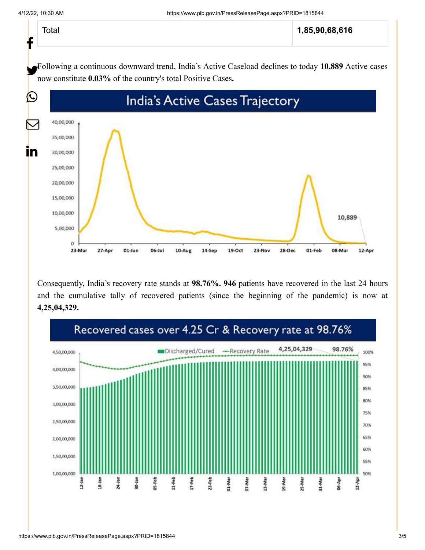| Total<br>L | 1,85,90,68,616 |
|------------|----------------|
|            |                |

Following a continuous downward trend, India's Active Caseload declines to today **10,889** Active cases now constitute **0.03%** of the country's total Positive Cases**.**



Consequently, India's recovery rate stands at **98.76%. 946** patients have recovered in the last 24 hours and the cumulative tally of recovered patients (since the beginning of the pandemic) is now at **4,25,04,329.**

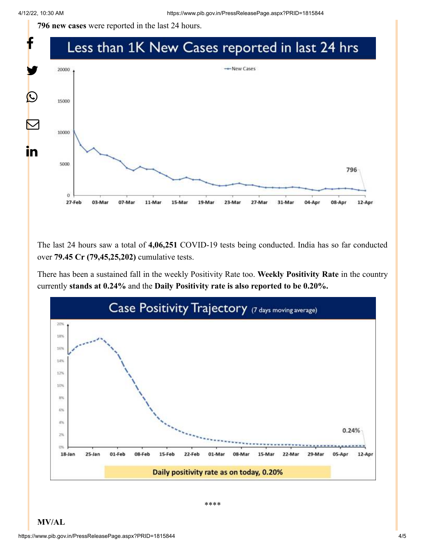**796 new cases** were reported in the last 24 hours.



The last 24 hours saw a total of **4,06,251** COVID-19 tests being conducted. India has so far conducted over **79.45 Cr (79,45,25,202)** cumulative tests.

There has been a sustained fall in the weekly Positivity Rate too. **Weekly Positivity Rate** in the country currently **stands at 0.24%** and the **Daily Positivity rate is also reported to be 0.20%.**